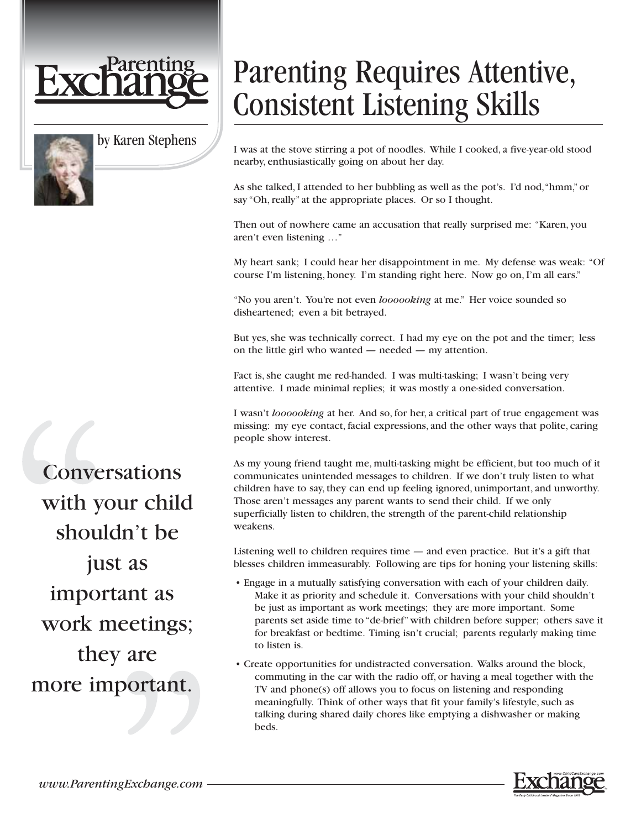

## by Karen Stephens

## Parenting Requires Attentive, Consistent Listening Skills

I was at the stove stirring a pot of noodles. While I cooked, a five-year-old stood nearby, enthusiastically going on about her day.

As she talked, I attended to her bubbling as well as the pot's. I'd nod,"hmm," or say "Oh, really" at the appropriate places. Or so I thought.

Then out of nowhere came an accusation that really surprised me: "Karen, you aren't even listening …"

My heart sank; I could hear her disappointment in me. My defense was weak: "Of course I'm listening, honey. I'm standing right here. Now go on, I'm all ears."

"No you aren't. You're not even *loooooking* at me." Her voice sounded so disheartened; even a bit betrayed.

But yes, she was technically correct. I had my eye on the pot and the timer; less on the little girl who wanted — needed — my attention.

Fact is, she caught me red-handed. I was multi-tasking; I wasn't being very attentive. I made minimal replies; it was mostly a one-sided conversation.

I wasn't *loooooking* at her. And so, for her, a critical part of true engagement was missing: my eye contact, facial expressions, and the other ways that polite, caring people show interest.

As my young friend taught me, multi-tasking might be efficient, but too much of it communicates unintended messages to children. If we don't truly listen to what children have to say, they can end up feeling ignored, unimportant, and unworthy. Those aren't messages any parent wants to send their child. If we only superficially listen to children, the strength of the parent-child relationship weakens.

Listening well to children requires time — and even practice. But it's a gift that blesses children immeasurably. Following are tips for honing your listening skills:

- Engage in a mutually satisfying conversation with each of your children daily. Make it as priority and schedule it. Conversations with your child shouldn't be just as important as work meetings; they are more important. Some parents set aside time to "de-brief" with children before supper; others save it for breakfast or bedtime. Timing isn't crucial; parents regularly making time to listen is.
- Create opportunities for undistracted conversation. Walks around the block, commuting in the car with the radio off, or having a meal together with the TV and phone(s) off allows you to focus on listening and responding meaningfully. Think of other ways that fit your family's lifestyle, such as talking during shared daily chores like emptying a dishwasher or making beds.



**Conversations** with your child shouldn't be just as important as work meetings; they are more important.